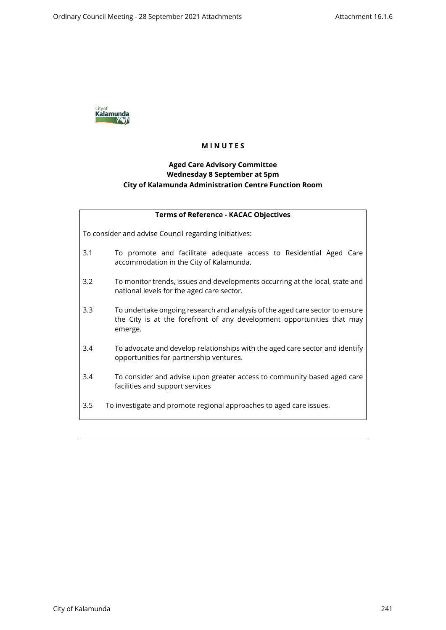

# **M I N U T E S**

# **Aged Care Advisory Committee Wednesday 8 September at 5pm City of Kalamunda Administration Centre Function Room**

| <b>Terms of Reference - KACAC Objectives</b>          |                                                                                                                                                                   |  |  |
|-------------------------------------------------------|-------------------------------------------------------------------------------------------------------------------------------------------------------------------|--|--|
| To consider and advise Council regarding initiatives: |                                                                                                                                                                   |  |  |
| 3.1                                                   | To promote and facilitate adequate access to Residential Aged Care<br>accommodation in the City of Kalamunda.                                                     |  |  |
| 3.2                                                   | To monitor trends, issues and developments occurring at the local, state and<br>national levels for the aged care sector.                                         |  |  |
| 3.3                                                   | To undertake ongoing research and analysis of the aged care sector to ensure<br>the City is at the forefront of any development opportunities that may<br>emerge. |  |  |
| 3.4                                                   | To advocate and develop relationships with the aged care sector and identify<br>opportunities for partnership ventures.                                           |  |  |
| 3.4                                                   | To consider and advise upon greater access to community based aged care<br>facilities and support services                                                        |  |  |
| 3.5                                                   | To investigate and promote regional approaches to aged care issues.                                                                                               |  |  |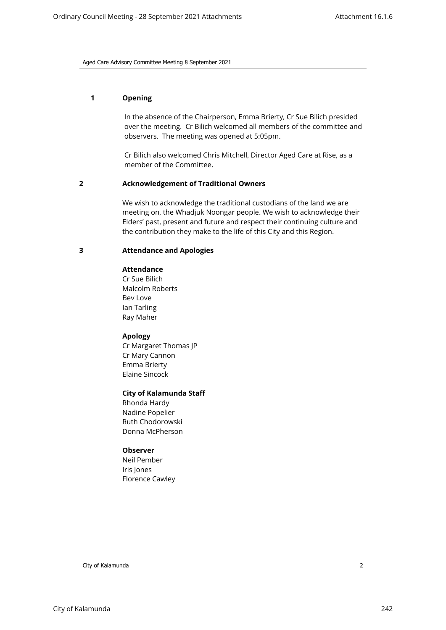## **1 Opening**

In the absence of the Chairperson, Emma Brierty, Cr Sue Bilich presided over the meeting. Cr Bilich welcomed all members of the committee and observers. The meeting was opened at 5:05pm.

Cr Bilich also welcomed Chris Mitchell, Director Aged Care at Rise, as a member of the Committee.

## **2 Acknowledgement of Traditional Owners**

We wish to acknowledge the traditional custodians of the land we are meeting on, the Whadjuk Noongar people. We wish to acknowledge their Elders' past, present and future and respect their continuing culture and the contribution they make to the life of this City and this Region.

## **3 Attendance and Apologies**

## **Attendance**

Cr Sue Bilich Malcolm Roberts Bev Love Ian Tarling Ray Maher

## **Apology**

Cr Margaret Thomas JP Cr Mary Cannon Emma Brierty Elaine Sincock

## **City of Kalamunda Staff**

Rhonda Hardy Nadine Popelier Ruth Chodorowski Donna McPherson

## **Observer**

Neil Pember Iris Jones Florence Cawley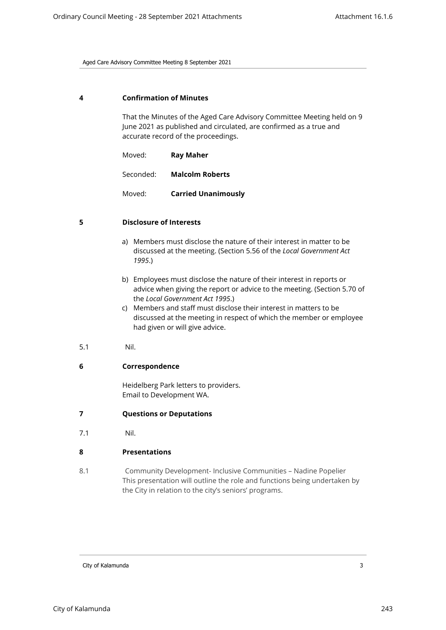#### **4 Confirmation of Minutes**

That the Minutes of the Aged Care Advisory Committee Meeting held on 9 June 2021 as published and circulated, are confirmed as a true and accurate record of the proceedings.

Moved: **Ray Maher**

Seconded: **Malcolm Roberts**

Moved: **Carried Unanimously**

#### **5 Disclosure of Interests**

- a) Members must disclose the nature of their interest in matter to be discussed at the meeting. (Section 5.56 of the *Local Government Act 1995*.)
- b) Employees must disclose the nature of their interest in reports or advice when giving the report or advice to the meeting. (Section 5.70 of the *Local Government Act 1995*.)
- c) Members and staff must disclose their interest in matters to be discussed at the meeting in respect of which the member or employee had given or will give advice.
- 5.1 Nil.

## **6 Correspondence**

Heidelberg Park letters to providers. Email to Development WA.

#### **7 Questions or Deputations**

7.1 Nil.

#### **8 Presentations**

8.1 Community Development- Inclusive Communities – Nadine Popelier This presentation will outline the role and functions being undertaken by the City in relation to the city's seniors' programs.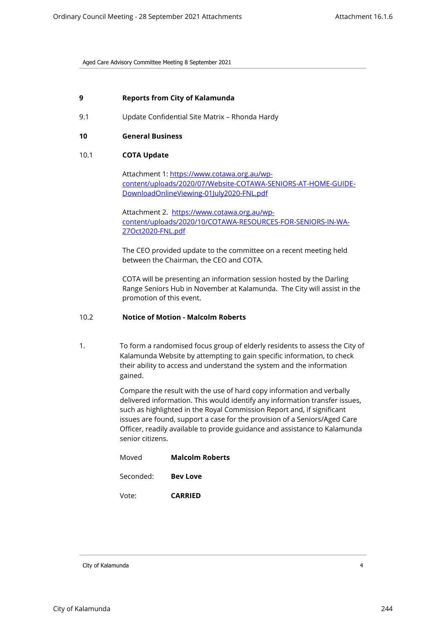## **9 Reports from City of Kalamunda**

9.1 Update Confidential Site Matrix – Rhonda Hardy

## **10 General Business**

## 10.1 **COTA Update**

Attachment 1: [https://www.cotawa.org.au/wp](https://www.cotawa.org.au/wp-content/uploads/2020/07/Website-COTAWA-SENIORS-AT-HOME-GUIDE-DownloadOnlineViewing-01July2020-FNL.pdf)[content/uploads/2020/07/Website-COTAWA-SENIORS-AT-HOME-GUIDE-](https://www.cotawa.org.au/wp-content/uploads/2020/07/Website-COTAWA-SENIORS-AT-HOME-GUIDE-DownloadOnlineViewing-01July2020-FNL.pdf)[DownloadOnlineViewing-01July2020-FNL.pdf](https://www.cotawa.org.au/wp-content/uploads/2020/07/Website-COTAWA-SENIORS-AT-HOME-GUIDE-DownloadOnlineViewing-01July2020-FNL.pdf)

Attachment 2.[https://www.cotawa.org.au/wp](https://www.cotawa.org.au/wp-content/uploads/2020/10/COTAWA-RESOURCES-FOR-SENIORS-IN-WA-27Oct2020-FNL.pdf)[content/uploads/2020/10/COTAWA-RESOURCES-FOR-SENIORS-IN-WA-](https://www.cotawa.org.au/wp-content/uploads/2020/10/COTAWA-RESOURCES-FOR-SENIORS-IN-WA-27Oct2020-FNL.pdf)[27Oct2020-FNL.pdf](https://www.cotawa.org.au/wp-content/uploads/2020/10/COTAWA-RESOURCES-FOR-SENIORS-IN-WA-27Oct2020-FNL.pdf)

The CEO provided update to the committee on a recent meeting held between the Chairman, the CEO and COTA.

COTA will be presenting an information session hosted by the Darling Range Seniors Hub in November at Kalamunda. The City will assist in the promotion of this event.

## 10.2 **Notice of Motion - Malcolm Roberts**

1. To form a randomised focus group of elderly residents to assess the City of Kalamunda Website by attempting to gain specific information, to check their ability to access and understand the system and the information gained.

> Compare the result with the use of hard copy information and verbally delivered information. This would identify any information transfer issues, such as highlighted in the Royal Commission Report and, if significant issues are found, support a case for the provision of a Seniors/Aged Care Officer, readily available to provide guidance and assistance to Kalamunda senior citizens.

| Moved     | <b>Malcolm Roberts</b> |
|-----------|------------------------|
| Seconded: | <b>Bev Love</b>        |
| Vote:     | <b>CARRIED</b>         |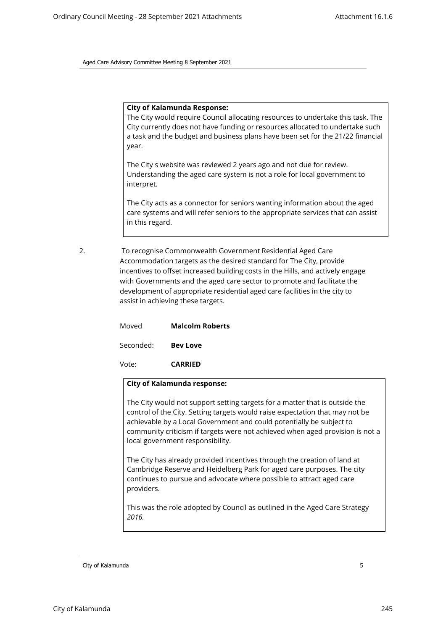#### **City of Kalamunda Response:**

The City would require Council allocating resources to undertake this task. The City currently does not have funding or resources allocated to undertake such a task and the budget and business plans have been set for the 21/22 financial year.

The City s website was reviewed 2 years ago and not due for review. Understanding the aged care system is not a role for local government to interpret.

The City acts as a connector for seniors wanting information about the aged care systems and will refer seniors to the appropriate services that can assist in this regard.

2. To recognise Commonwealth Government Residential Aged Care Accommodation targets as the desired standard for The City, provide incentives to offset increased building costs in the Hills, and actively engage with Governments and the aged care sector to promote and facilitate the development of appropriate residential aged care facilities in the city to assist in achieving these targets.

| Moved     | <b>Malcolm Roberts</b> |
|-----------|------------------------|
| Seconded: | <b>Bev Love</b>        |

Vote: **CARRIED**

## **City of Kalamunda response:**

The City would not support setting targets for a matter that is outside the control of the City. Setting targets would raise expectation that may not be achievable by a Local Government and could potentially be subject to community criticism if targets were not achieved when aged provision is not a local government responsibility.

The City has already provided incentives through the creation of land at Cambridge Reserve and Heidelberg Park for aged care purposes. The city continues to pursue and advocate where possible to attract aged care providers.

This was the role adopted by Council as outlined in the Aged Care Strategy *2016.*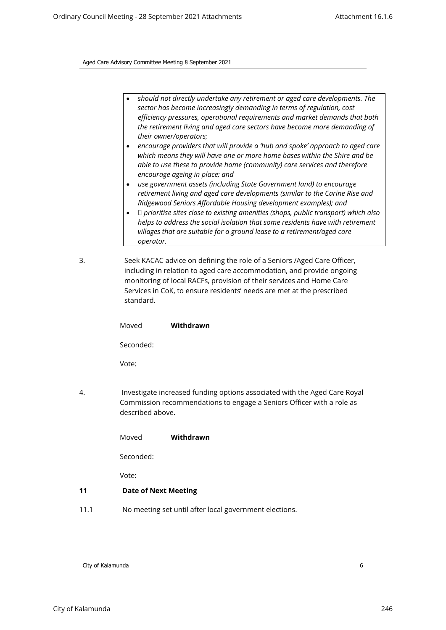- *should not directly undertake any retirement or aged care developments. The sector has become increasingly demanding in terms of regulation, cost efficiency pressures, operational requirements and market demands that both the retirement living and aged care sectors have become more demanding of their owner/operators;*
- *encourage providers that will provide a 'hub and spoke' approach to aged care which means they will have one or more home bases within the Shire and be able to use these to provide home (community) care services and therefore encourage ageing in place; and*
- *use government assets (including State Government land) to encourage retirement living and aged care developments (similar to the Carine Rise and Ridgewood Seniors Affordable Housing development examples); and*
- *prioritise sites close to existing amenities (shops, public transport) which also helps to address the social isolation that some residents have with retirement villages that are suitable for a ground lease to a retirement/aged care operator.*
- 3. Seek KACAC advice on defining the role of a Seniors /Aged Care Officer, including in relation to aged care accommodation, and provide ongoing monitoring of local RACFs, provision of their services and Home Care Services in CoK, to ensure residents' needs are met at the prescribed standard.

|      | Moved                                                                                                                                                                  | Withdrawn |  |
|------|------------------------------------------------------------------------------------------------------------------------------------------------------------------------|-----------|--|
|      | Seconded:                                                                                                                                                              |           |  |
|      | Vote:                                                                                                                                                                  |           |  |
| 4.   | Investigate increased funding options associated with the Aged Care Royal<br>Commission recommendations to engage a Seniors Officer with a role as<br>described above. |           |  |
|      | Moved                                                                                                                                                                  | Withdrawn |  |
|      | Seconded:                                                                                                                                                              |           |  |
|      | Vote:                                                                                                                                                                  |           |  |
| 11   | <b>Date of Next Meeting</b>                                                                                                                                            |           |  |
| 11.1 | No meeting set until after local government elections.                                                                                                                 |           |  |